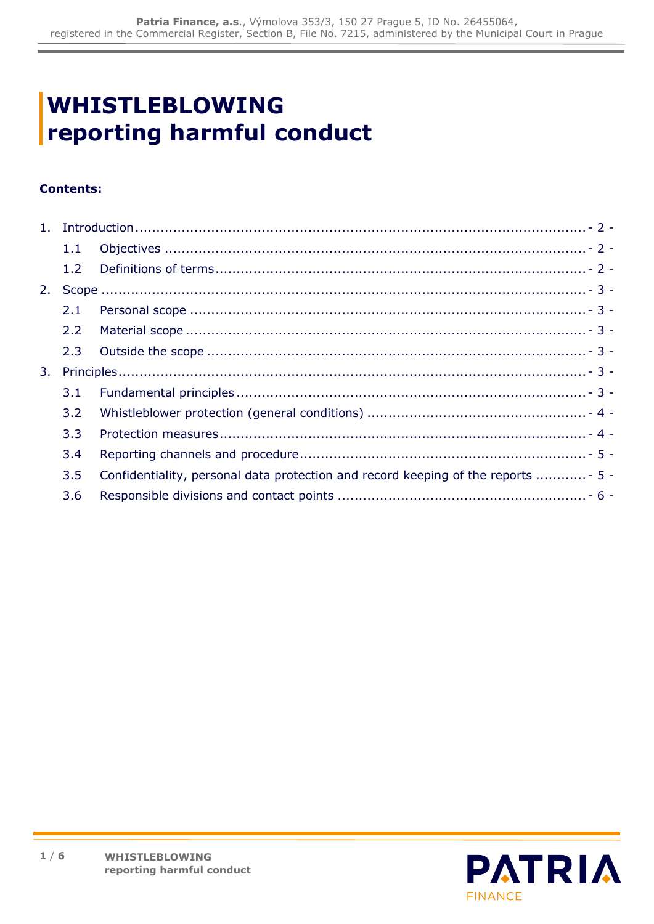# **WHISTLEBLOWING reporting harmful conduct**

# **Contents:**

|                | 1.1              |                                                                                    |
|----------------|------------------|------------------------------------------------------------------------------------|
|                | 1.2              |                                                                                    |
| 2.             |                  |                                                                                    |
|                | 2.1              |                                                                                    |
|                | $2.2^{\circ}$    |                                                                                    |
|                | $2.3 -$          |                                                                                    |
| 3 <sub>1</sub> |                  |                                                                                    |
|                | 3.1              |                                                                                    |
|                | $3.2^{\circ}$    |                                                                                    |
|                | 3.3 <sup>°</sup> |                                                                                    |
|                | 3.4              |                                                                                    |
|                | $3.5^{\circ}$    | Confidentiality, personal data protection and record keeping of the reports  - 5 - |
|                | 3.6              |                                                                                    |

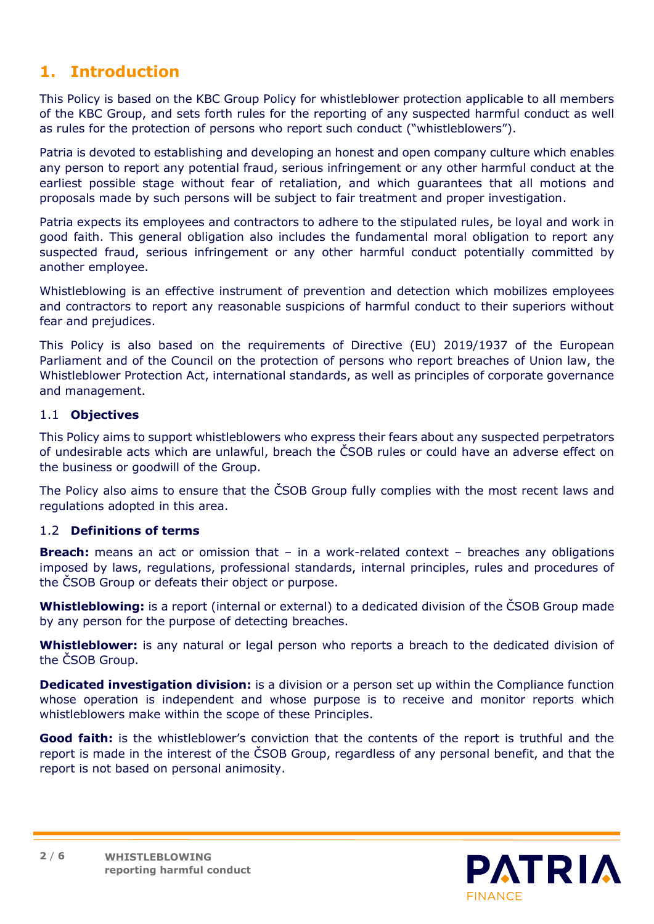# <span id="page-1-0"></span>**1. Introduction**

This Policy is based on the KBC Group Policy for whistleblower protection applicable to all members of the KBC Group, and sets forth rules for the reporting of any suspected harmful conduct as well as rules for the protection of persons who report such conduct ("whistleblowers").

Patria is devoted to establishing and developing an honest and open company culture which enables any person to report any potential fraud, serious infringement or any other harmful conduct at the earliest possible stage without fear of retaliation, and which guarantees that all motions and proposals made by such persons will be subject to fair treatment and proper investigation.

Patria expects its employees and contractors to adhere to the stipulated rules, be loyal and work in good faith. This general obligation also includes the fundamental moral obligation to report any suspected fraud, serious infringement or any other harmful conduct potentially committed by another employee.

Whistleblowing is an effective instrument of prevention and detection which mobilizes employees and contractors to report any reasonable suspicions of harmful conduct to their superiors without fear and prejudices.

This Policy is also based on the requirements of Directive (EU) 2019/1937 of the European Parliament and of the Council on the protection of persons who report breaches of Union law, the Whistleblower Protection Act, international standards, as well as principles of corporate governance and management.

# <span id="page-1-1"></span>1.1 **Objectives**

This Policy aims to support whistleblowers who express their fears about any suspected perpetrators of undesirable acts which are unlawful, breach the ČSOB rules or could have an adverse effect on the business or goodwill of the Group.

The Policy also aims to ensure that the ČSOB Group fully complies with the most recent laws and regulations adopted in this area.

## <span id="page-1-2"></span>1.2 **Definitions of terms**

**Breach:** means an act or omission that – in a work-related context – breaches any obligations imposed by laws, regulations, professional standards, internal principles, rules and procedures of the ČSOB Group or defeats their object or purpose.

**Whistleblowing:** is a report (internal or external) to a dedicated division of the ČSOB Group made by any person for the purpose of detecting breaches.

**Whistleblower:** is any natural or legal person who reports a breach to the dedicated division of the ČSOB Group.

**Dedicated investigation division:** is a division or a person set up within the Compliance function whose operation is independent and whose purpose is to receive and monitor reports which whistleblowers make within the scope of these Principles.

**Good faith:** is the whistleblower's conviction that the contents of the report is truthful and the report is made in the interest of the ČSOB Group, regardless of any personal benefit, and that the report is not based on personal animosity.

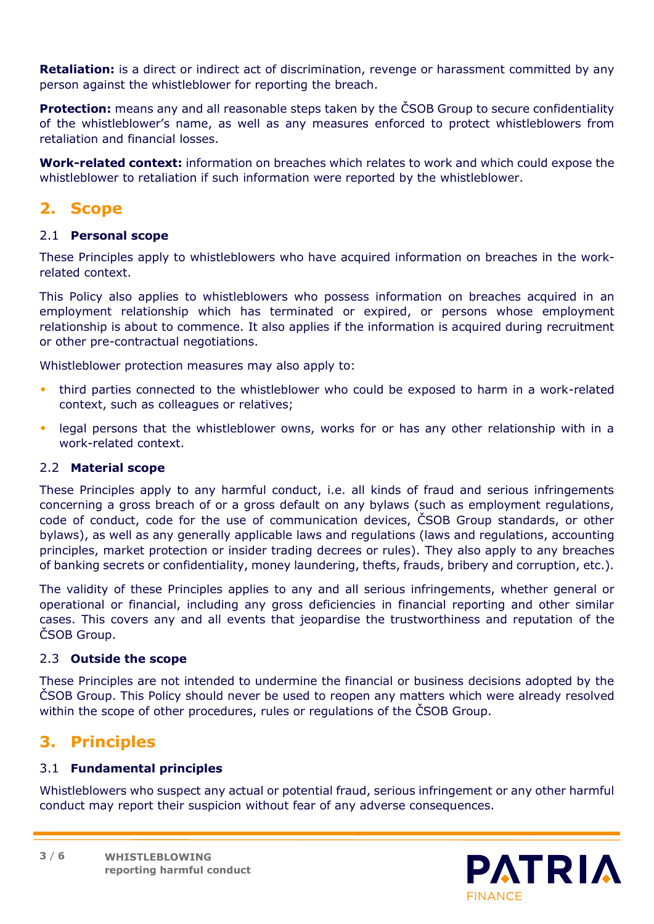**Retaliation:** is a direct or indirect act of discrimination, revenge or harassment committed by any person against the whistleblower for reporting the breach.

**Protection:** means any and all reasonable steps taken by the ČSOB Group to secure confidentiality of the whistleblower's name, as well as any measures enforced to protect whistleblowers from retaliation and financial losses.

**Work-related context:** information on breaches which relates to work and which could expose the whistleblower to retaliation if such information were reported by the whistleblower.

# <span id="page-2-0"></span>**2. Scope**

#### <span id="page-2-1"></span>2.1 **Personal scope**

These Principles apply to whistleblowers who have acquired information on breaches in the workrelated context.

This Policy also applies to whistleblowers who possess information on breaches acquired in an employment relationship which has terminated or expired, or persons whose employment relationship is about to commence. It also applies if the information is acquired during recruitment or other pre-contractual negotiations.

Whistleblower protection measures may also apply to:

- third parties connected to the whistleblower who could be exposed to harm in a work-related context, such as colleagues or relatives;
- legal persons that the whistleblower owns, works for or has any other relationship with in a work-related context.

#### <span id="page-2-2"></span>2.2 **Material scope**

These Principles apply to any harmful conduct, i.e. all kinds of fraud and serious infringements concerning a gross breach of or a gross default on any bylaws (such as employment regulations, code of conduct, code for the use of communication devices, ČSOB Group standards, or other bylaws), as well as any generally applicable laws and regulations (laws and regulations, accounting principles, market protection or insider trading decrees or rules). They also apply to any breaches of banking secrets or confidentiality, money laundering, thefts, frauds, bribery and corruption, etc.).

The validity of these Principles applies to any and all serious infringements, whether general or operational or financial, including any gross deficiencies in financial reporting and other similar cases. This covers any and all events that jeopardise the trustworthiness and reputation of the ČSOB Group.

#### <span id="page-2-3"></span>2.3 **Outside the scope**

These Principles are not intended to undermine the financial or business decisions adopted by the ČSOB Group. This Policy should never be used to reopen any matters which were already resolved within the scope of other procedures, rules or regulations of the ČSOB Group.

# <span id="page-2-4"></span>**3. Principles**

## <span id="page-2-5"></span>3.1 **Fundamental principles**

Whistleblowers who suspect any actual or potential fraud, serious infringement or any other harmful conduct may report their suspicion without fear of any adverse consequences.

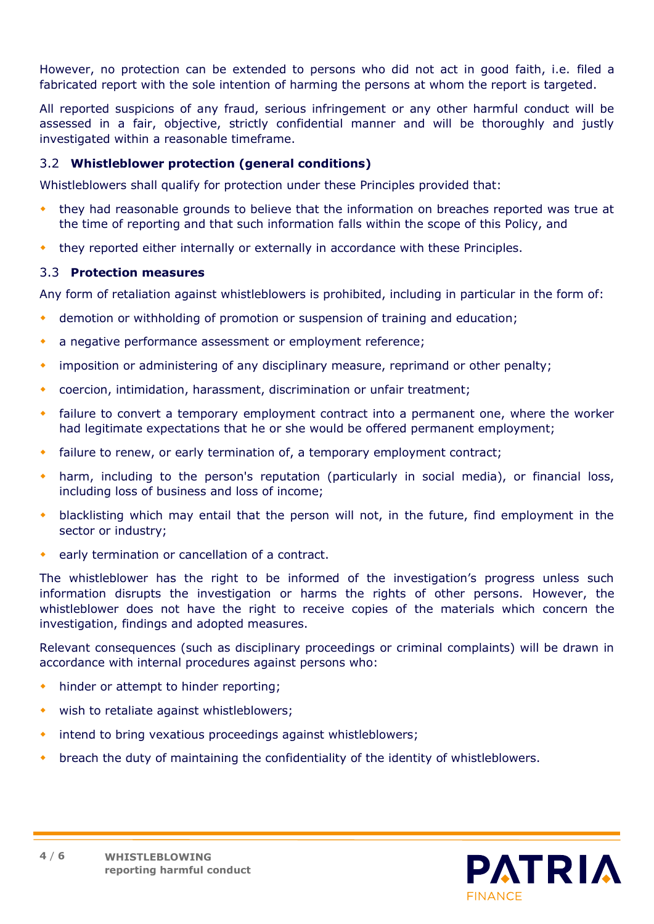However, no protection can be extended to persons who did not act in good faith, i.e. filed a fabricated report with the sole intention of harming the persons at whom the report is targeted.

All reported suspicions of any fraud, serious infringement or any other harmful conduct will be assessed in a fair, objective, strictly confidential manner and will be thoroughly and justly investigated within a reasonable timeframe.

# <span id="page-3-0"></span>3.2 **Whistleblower protection (general conditions)**

Whistleblowers shall qualify for protection under these Principles provided that:

- they had reasonable grounds to believe that the information on breaches reported was true at the time of reporting and that such information falls within the scope of this Policy, and
- they reported either internally or externally in accordance with these Principles.

#### <span id="page-3-1"></span>3.3 **Protection measures**

Any form of retaliation against whistleblowers is prohibited, including in particular in the form of:

- demotion or withholding of promotion or suspension of training and education;
- a negative performance assessment or employment reference;
- imposition or administering of any disciplinary measure, reprimand or other penalty;
- coercion, intimidation, harassment, discrimination or unfair treatment;
- failure to convert a temporary employment contract into a permanent one, where the worker had legitimate expectations that he or she would be offered permanent employment;
- failure to renew, or early termination of, a temporary employment contract;
- harm, including to the person's reputation (particularly in social media), or financial loss, including loss of business and loss of income;
- blacklisting which may entail that the person will not, in the future, find employment in the sector or industry;
- early termination or cancellation of a contract.

The whistleblower has the right to be informed of the investigation's progress unless such information disrupts the investigation or harms the rights of other persons. However, the whistleblower does not have the right to receive copies of the materials which concern the investigation, findings and adopted measures.

Relevant consequences (such as disciplinary proceedings or criminal complaints) will be drawn in accordance with internal procedures against persons who:

- hinder or attempt to hinder reporting;
- wish to retaliate against whistleblowers;
- intend to bring vexatious proceedings against whistleblowers;
- breach the duty of maintaining the confidentiality of the identity of whistleblowers.

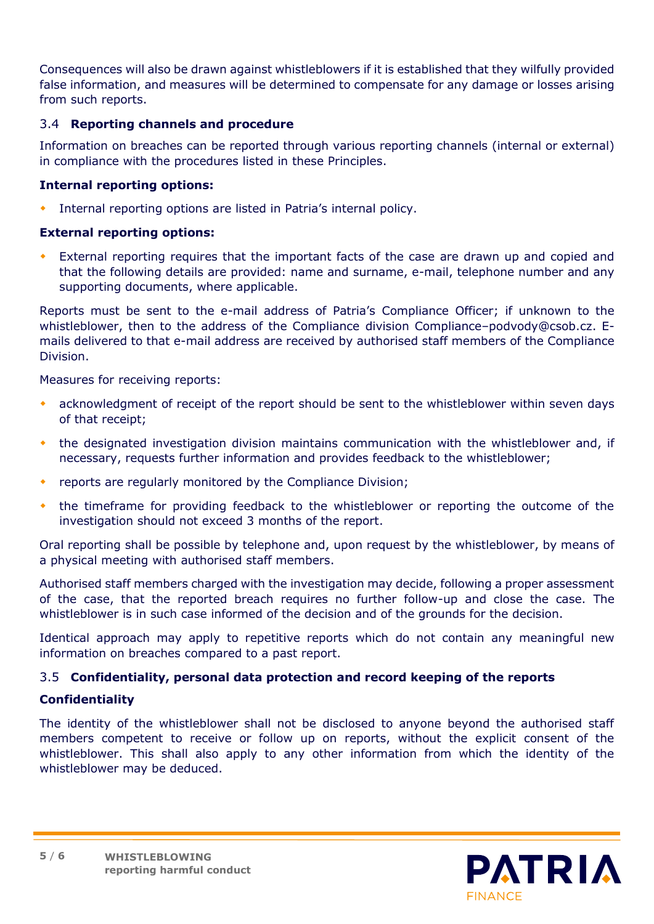Consequences will also be drawn against whistleblowers if it is established that they wilfully provided false information, and measures will be determined to compensate for any damage or losses arising from such reports.

# <span id="page-4-0"></span>3.4 **Reporting channels and procedure**

Information on breaches can be reported through various reporting channels (internal or external) in compliance with the procedures listed in these Principles.

## **Internal reporting options:**

Internal reporting options are listed in Patria's internal policy.

# **External reporting options:**

 External reporting requires that the important facts of the case are drawn up and copied and that the following details are provided: name and surname, e-mail, telephone number and any supporting documents, where applicable.

Reports must be sent to the e-mail address of Patria's Compliance Officer; if unknown to the whistleblower, then to the address of the Compliance division Compliance–podvody@csob.cz. Emails delivered to that e-mail address are received by authorised staff members of the Compliance Division.

Measures for receiving reports:

- acknowledgment of receipt of the report should be sent to the whistleblower within seven days of that receipt;
- the designated investigation division maintains communication with the whistleblower and, if necessary, requests further information and provides feedback to the whistleblower;
- reports are regularly monitored by the Compliance Division;
- the timeframe for providing feedback to the whistleblower or reporting the outcome of the investigation should not exceed 3 months of the report.

Oral reporting shall be possible by telephone and, upon request by the whistleblower, by means of a physical meeting with authorised staff members.

Authorised staff members charged with the investigation may decide, following a proper assessment of the case, that the reported breach requires no further follow-up and close the case. The whistleblower is in such case informed of the decision and of the grounds for the decision.

Identical approach may apply to repetitive reports which do not contain any meaningful new information on breaches compared to a past report.

## <span id="page-4-1"></span>3.5 **Confidentiality, personal data protection and record keeping of the reports**

# **Confidentiality**

The identity of the whistleblower shall not be disclosed to anyone beyond the authorised staff members competent to receive or follow up on reports, without the explicit consent of the whistleblower. This shall also apply to any other information from which the identity of the whistleblower may be deduced.